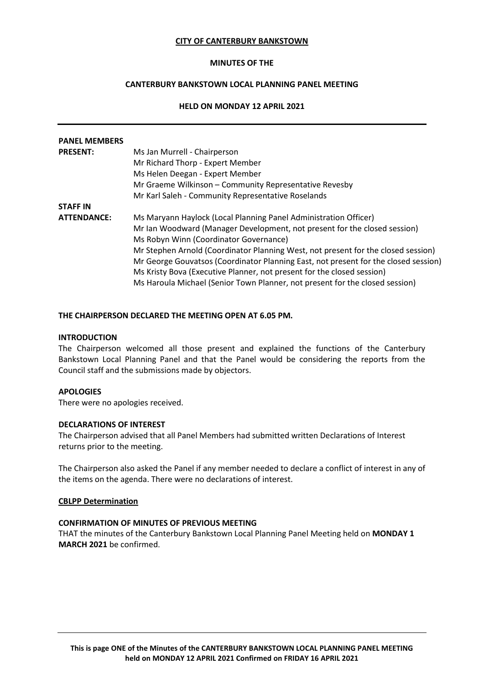#### **CITY OF CANTERBURY BANKSTOWN**

## **MINUTES OF THE**

## **CANTERBURY BANKSTOWN LOCAL PLANNING PANEL MEETING**

## **HELD ON MONDAY 12 APRIL 2021**

| <b>PANEL MEMBERS</b> |                                                                                     |
|----------------------|-------------------------------------------------------------------------------------|
| <b>PRESENT:</b>      | Ms Jan Murrell - Chairperson                                                        |
|                      | Mr Richard Thorp - Expert Member                                                    |
|                      | Ms Helen Deegan - Expert Member                                                     |
|                      | Mr Graeme Wilkinson - Community Representative Revesby                              |
|                      | Mr Karl Saleh - Community Representative Roselands                                  |
| <b>STAFF IN</b>      |                                                                                     |
| <b>ATTENDANCE:</b>   | Ms Maryann Haylock (Local Planning Panel Administration Officer)                    |
|                      | Mr Ian Woodward (Manager Development, not present for the closed session)           |
|                      | Ms Robyn Winn (Coordinator Governance)                                              |
|                      | Mr Stephen Arnold (Coordinator Planning West, not present for the closed session)   |
|                      | Mr George Gouvatsos (Coordinator Planning East, not present for the closed session) |
|                      | Ms Kristy Bova (Executive Planner, not present for the closed session)              |
|                      | Ms Haroula Michael (Senior Town Planner, not present for the closed session)        |

## **THE CHAIRPERSON DECLARED THE MEETING OPEN AT 6.05 PM.**

#### **INTRODUCTION**

The Chairperson welcomed all those present and explained the functions of the Canterbury Bankstown Local Planning Panel and that the Panel would be considering the reports from the Council staff and the submissions made by objectors.

#### **APOLOGIES**

There were no apologies received.

#### **DECLARATIONS OF INTEREST**

The Chairperson advised that all Panel Members had submitted written Declarations of Interest returns prior to the meeting.

The Chairperson also asked the Panel if any member needed to declare a conflict of interest in any of the items on the agenda. There were no declarations of interest.

## **CBLPP Determination**

## **CONFIRMATION OF MINUTES OF PREVIOUS MEETING**

THAT the minutes of the Canterbury Bankstown Local Planning Panel Meeting held on **MONDAY 1 MARCH 2021** be confirmed.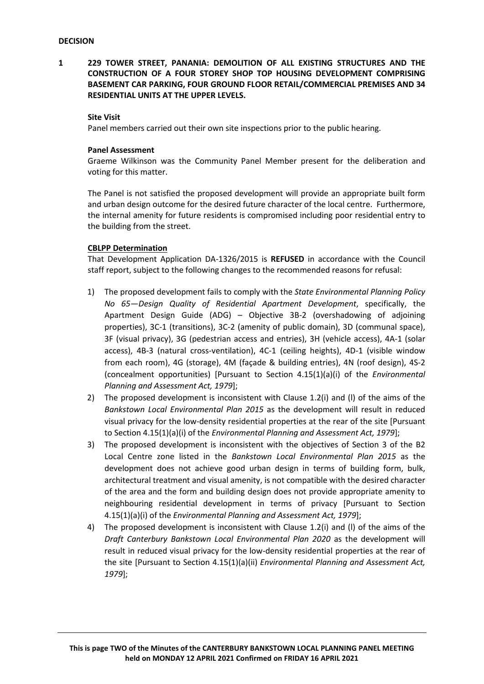**1 229 TOWER STREET, PANANIA: DEMOLITION OF ALL EXISTING STRUCTURES AND THE CONSTRUCTION OF A FOUR STOREY SHOP TOP HOUSING DEVELOPMENT COMPRISING BASEMENT CAR PARKING, FOUR GROUND FLOOR RETAIL/COMMERCIAL PREMISES AND 34 RESIDENTIAL UNITS AT THE UPPER LEVELS.**

#### **Site Visit**

Panel members carried out their own site inspections prior to the public hearing.

#### **Panel Assessment**

Graeme Wilkinson was the Community Panel Member present for the deliberation and voting for this matter.

The Panel is not satisfied the proposed development will provide an appropriate built form and urban design outcome for the desired future character of the local centre. Furthermore, the internal amenity for future residents is compromised including poor residential entry to the building from the street.

#### **CBLPP Determination**

That Development Application DA-1326/2015 is **REFUSED** in accordance with the Council staff report, subject to the following changes to the recommended reasons for refusal:

- 1) The proposed development fails to comply with the *State Environmental Planning Policy No 65—Design Quality of Residential Apartment Development*, specifically, the Apartment Design Guide (ADG) – Objective 3B-2 (overshadowing of adjoining properties), 3C-1 (transitions), 3C-2 (amenity of public domain), 3D (communal space), 3F (visual privacy), 3G (pedestrian access and entries), 3H (vehicle access), 4A-1 (solar access), 4B-3 (natural cross-ventilation), 4C-1 (ceiling heights), 4D-1 (visible window from each room), 4G (storage), 4M (façade & building entries), 4N (roof design), 4S-2 (concealment opportunities) [Pursuant to Section 4.15(1)(a)(i) of the *Environmental Planning and Assessment Act, 1979*];
- 2) The proposed development is inconsistent with Clause 1.2(i) and (l) of the aims of the *Bankstown Local Environmental Plan 2015* as the development will result in reduced visual privacy for the low-density residential properties at the rear of the site [Pursuant to Section 4.15(1)(a)(i) of the *Environmental Planning and Assessment Act, 1979*];
- 3) The proposed development is inconsistent with the objectives of Section 3 of the B2 Local Centre zone listed in the *Bankstown Local Environmental Plan 2015* as the development does not achieve good urban design in terms of building form, bulk, architectural treatment and visual amenity, is not compatible with the desired character of the area and the form and building design does not provide appropriate amenity to neighbouring residential development in terms of privacy [Pursuant to Section 4.15(1)(a)(i) of the *Environmental Planning and Assessment Act, 1979*];
- 4) The proposed development is inconsistent with Clause 1.2(i) and (l) of the aims of the *Draft Canterbury Bankstown Local Environmental Plan 2020* as the development will result in reduced visual privacy for the low-density residential properties at the rear of the site [Pursuant to Section 4.15(1)(a)(ii) *Environmental Planning and Assessment Act, 1979*];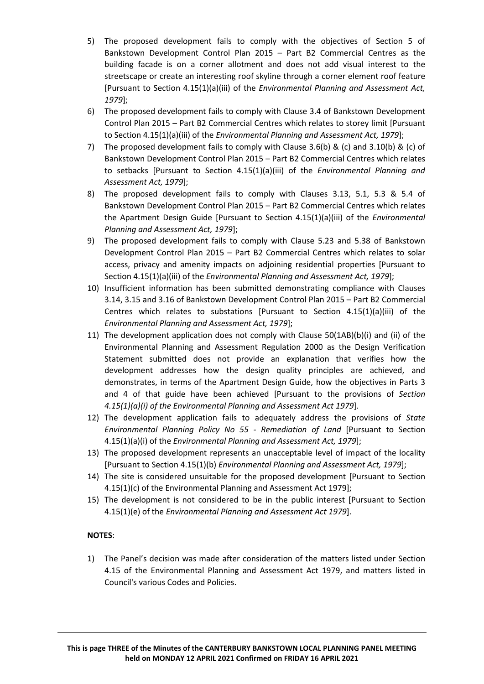- 5) The proposed development fails to comply with the objectives of Section 5 of Bankstown Development Control Plan 2015 – Part B2 Commercial Centres as the building facade is on a corner allotment and does not add visual interest to the streetscape or create an interesting roof skyline through a corner element roof feature [Pursuant to Section 4.15(1)(a)(iii) of the *Environmental Planning and Assessment Act, 1979*];
- 6) The proposed development fails to comply with Clause 3.4 of Bankstown Development Control Plan 2015 – Part B2 Commercial Centres which relates to storey limit [Pursuant to Section 4.15(1)(a)(iii) of the *Environmental Planning and Assessment Act, 1979*];
- 7) The proposed development fails to comply with Clause 3.6(b) & (c) and 3.10(b) & (c) of Bankstown Development Control Plan 2015 – Part B2 Commercial Centres which relates to setbacks [Pursuant to Section 4.15(1)(a)(iii) of the *Environmental Planning and Assessment Act, 1979*];
- 8) The proposed development fails to comply with Clauses 3.13, 5.1, 5.3 & 5.4 of Bankstown Development Control Plan 2015 – Part B2 Commercial Centres which relates the Apartment Design Guide [Pursuant to Section 4.15(1)(a)(iii) of the *Environmental Planning and Assessment Act, 1979*];
- 9) The proposed development fails to comply with Clause 5.23 and 5.38 of Bankstown Development Control Plan 2015 – Part B2 Commercial Centres which relates to solar access, privacy and amenity impacts on adjoining residential properties [Pursuant to Section 4.15(1)(a)(iii) of the *Environmental Planning and Assessment Act, 1979*];
- 10) Insufficient information has been submitted demonstrating compliance with Clauses 3.14, 3.15 and 3.16 of Bankstown Development Control Plan 2015 – Part B2 Commercial Centres which relates to substations [Pursuant to Section  $4.15(1)(a)(iii)$  of the *Environmental Planning and Assessment Act, 1979*];
- 11) The development application does not comply with Clause  $50(1AB)(b)(i)$  and (ii) of the Environmental Planning and Assessment Regulation 2000 as the Design Verification Statement submitted does not provide an explanation that verifies how the development addresses how the design quality principles are achieved, and demonstrates, in terms of the Apartment Design Guide, how the objectives in Parts 3 and 4 of that guide have been achieved [Pursuant to the provisions of *Section 4.15(1)(a)(i) of the Environmental Planning and Assessment Act 1979*].
- 12) The development application fails to adequately address the provisions of *State Environmental Planning Policy No 55 - Remediation of Land* [Pursuant to Section 4.15(1)(a)(i) of the *Environmental Planning and Assessment Act, 1979*];
- 13) The proposed development represents an unacceptable level of impact of the locality [Pursuant to Section 4.15(1)(b) *Environmental Planning and Assessment Act, 1979*];
- 14) The site is considered unsuitable for the proposed development [Pursuant to Section 4.15(1)(c) of the Environmental Planning and Assessment Act 1979];
- 15) The development is not considered to be in the public interest [Pursuant to Section 4.15(1)(e) of the *Environmental Planning and Assessment Act 1979*].

# **NOTES**:

1) The Panel's decision was made after consideration of the matters listed under Section 4.15 of the Environmental Planning and Assessment Act 1979, and matters listed in Council's various Codes and Policies.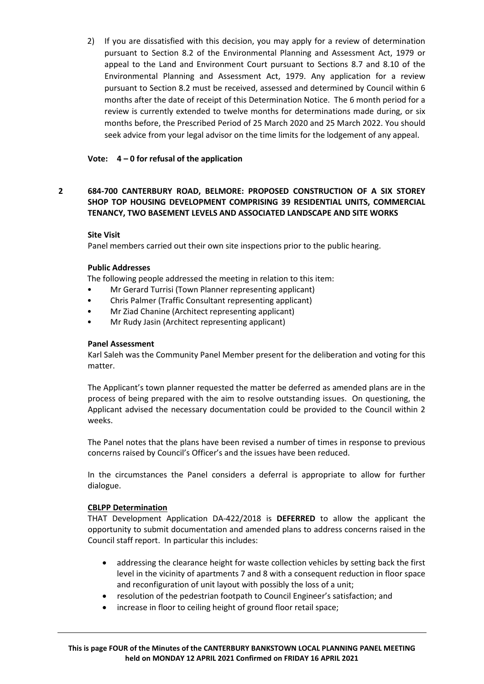2) If you are dissatisfied with this decision, you may apply for a review of determination pursuant to Section 8.2 of the Environmental Planning and Assessment Act, 1979 or appeal to the Land and Environment Court pursuant to Sections 8.7 and 8.10 of the Environmental Planning and Assessment Act, 1979. Any application for a review pursuant to Section 8.2 must be received, assessed and determined by Council within 6 months after the date of receipt of this Determination Notice. The 6 month period for a review is currently extended to twelve months for determinations made during, or six months before, the Prescribed Period of 25 March 2020 and 25 March 2022. You should seek advice from your legal advisor on the time limits for the lodgement of any appeal.

## **Vote: 4 – 0 for refusal of the application**

# **2 684-700 CANTERBURY ROAD, BELMORE: PROPOSED CONSTRUCTION OF A SIX STOREY SHOP TOP HOUSING DEVELOPMENT COMPRISING 39 RESIDENTIAL UNITS, COMMERCIAL TENANCY, TWO BASEMENT LEVELS AND ASSOCIATED LANDSCAPE AND SITE WORKS**

**Site Visit**

Panel members carried out their own site inspections prior to the public hearing.

## **Public Addresses**

The following people addressed the meeting in relation to this item:

- Mr Gerard Turrisi (Town Planner representing applicant)
- Chris Palmer (Traffic Consultant representing applicant)
- Mr Ziad Chanine (Architect representing applicant)
- Mr Rudy Jasin (Architect representing applicant)

## **Panel Assessment**

Karl Saleh was the Community Panel Member present for the deliberation and voting for this matter.

The Applicant's town planner requested the matter be deferred as amended plans are in the process of being prepared with the aim to resolve outstanding issues. On questioning, the Applicant advised the necessary documentation could be provided to the Council within 2 weeks.

The Panel notes that the plans have been revised a number of times in response to previous concerns raised by Council's Officer's and the issues have been reduced.

In the circumstances the Panel considers a deferral is appropriate to allow for further dialogue.

## **CBLPP Determination**

THAT Development Application DA-422/2018 is **DEFERRED** to allow the applicant the opportunity to submit documentation and amended plans to address concerns raised in the Council staff report. In particular this includes:

- addressing the clearance height for waste collection vehicles by setting back the first level in the vicinity of apartments 7 and 8 with a consequent reduction in floor space and reconfiguration of unit layout with possibly the loss of a unit;
- resolution of the pedestrian footpath to Council Engineer's satisfaction; and
- increase in floor to ceiling height of ground floor retail space;